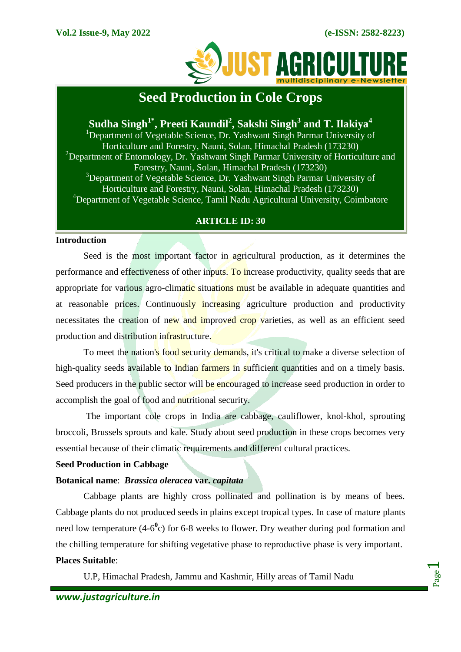

# **Seed Production in Cole Crops**

# **Sudha Singh1\*, Preeti Kaundil<sup>2</sup> , Sakshi Singh<sup>3</sup> and T. Ilakiya<sup>4</sup>**

<sup>1</sup>Department of Vegetable Science, Dr. Yashwant Singh Parmar University of Horticulture and Forestry, Nauni, Solan, Himachal Pradesh (173230) <sup>2</sup>Department of Entomology, Dr. Yashwant Singh Parmar University of Horticulture and Forestry, Nauni, Solan, Himachal Pradesh (173230) <sup>3</sup>Department of Vegetable Science, Dr. Yashwant Singh Parmar University of Horticulture and Forestry, Nauni, Solan, Himachal Pradesh (173230) <sup>4</sup>Department of Vegetable Science, Tamil Nadu Agricultural University, Coimbatore

# **ARTICLE ID: 30**

#### **Introduction**

Seed is the most important factor in agricultural production, as it determines the performance and effectiveness of other inputs. To increase productivity, quality seeds that are appropriate for various agro-climatic situations must be available in adequate quantities and at reasonable prices. Continuously increasing agriculture production and productivity necessitates the creation of new and improved crop varieties, as well as an efficient seed production and distribution infrastructure.

To meet the nation's food security demands, it's critical to make a diverse selection of high-quality seeds available to Indian farmers in sufficient quantities and on a timely basis. Seed producers in the public sector will be encouraged to increase seed production in order to accomplish the goal of food and nutritional security.

The important cole crops in India are cabbage, cauliflower, knol-khol, sprouting broccoli, Brussels sprouts and kale. Study about seed production in these crops becomes very essential because of their climatic requirements and different cultural practices.

# **Seed Production in Cabbage**

# **Botanical name**: *Brassica oleracea* **var.** *capitata*

Cabbage plants are highly cross pollinated and pollination is by means of bees. Cabbage plants do not produced seeds in plains except tropical types. In case of mature plants need low temperature (4-6<sup>0</sup>c) for 6-8 weeks to flower. Dry weather during pod formation and the chilling temperature for shifting vegetative phase to reproductive phase is very important. **Places Suitable**:

U.P, Himachal Pradesh, Jammu and Kashmir, Hilly areas of Tamil Nadu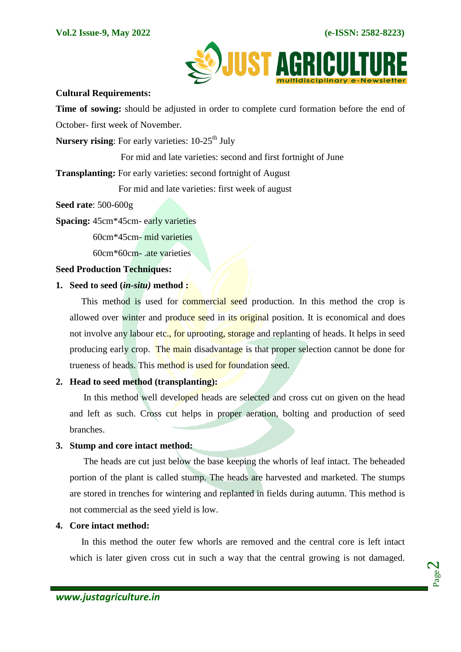

#### **Cultural Requirements:**

**Time of sowing:** should be adjusted in order to complete curd formation before the end of October- first week of November.

Nursery rising: For early varieties: 10-25<sup>th</sup> July

For mid and late varieties: second and first fortnight of June

**Transplanting:** For early varieties: second fortnight of August

For mid and late varieties: first week of august

**Seed rate**: 500-600g

**Spacing:** 45cm\*45cm- early varieties

60cm\*45cm- mid varieties

60cm\*60cm- .ate varieties

**Seed Production Techniques:**

#### **1. Seed to seed (***in-situ)* **method :**

This method is used for commercial seed production. In this method the crop is allowed over winter and produce seed in its original position. It is economical and does not involve any labour etc., for uprooting, storage and replanting of heads. It helps in seed producing early crop. The main disadvantage is that proper selection cannot be done for trueness of heads. This method is used for foundation seed.

# **2. Head to seed method (transplanting):**

In this method well developed heads are selected and cross cut on given on the head and left as such. Cross cut helps in proper aeration, bolting and production of seed branches.

# **3. Stump and core intact method:**

 The heads are cut just below the base keeping the whorls of leaf intact. The beheaded portion of the plant is called stump. The heads are harvested and marketed. The stumps are stored in trenches for wintering and replanted in fields during autumn. This method is not commercial as the seed yield is low.

#### **4. Core intact method:**

In this method the outer few whorls are removed and the central core is left intact which is later given cross cut in such a way that the central growing is not damaged.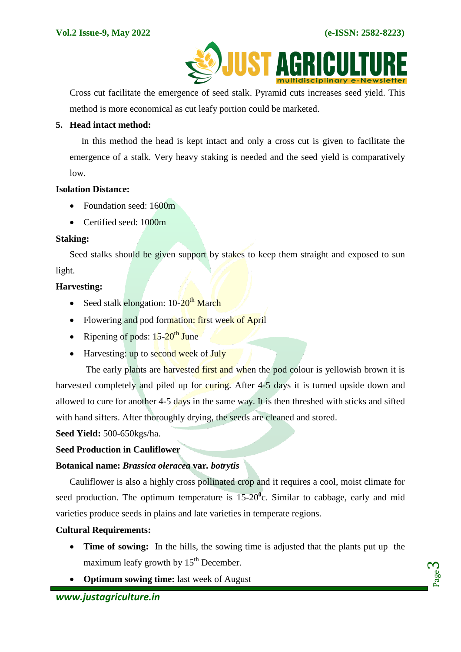Page က $\,$ 



Cross cut facilitate the emergence of seed stalk. Pyramid cuts increases seed yield. This method is more economical as cut leafy portion could be marketed.

#### **5. Head intact method:**

 In this method the head is kept intact and only a cross cut is given to facilitate the emergence of a stalk. Very heavy staking is needed and the seed yield is comparatively low.

#### **Isolation Distance:**

- Foundation seed: 1600m
- Certified seed: 1000m

#### **Staking:**

Seed stalks should be given support by stakes to keep them straight and exposed to sun light.

#### **Harvesting:**

- Seed stalk elongation:  $10\text{-}20^{\text{th}}$  March
- Flowering and pod formation: first week of April
- Ripening of pods:  $15-20$ <sup>th</sup> June
- $\bullet$  Harvesting: up to second week of July

The early plants are harvested first and when the pod colour is yellowish brown it is harvested completely and piled up for curing. After 4-5 days it is turned upside down and allowed to cure for another 4-5 days in the same way. It is then threshed with sticks and sifted with hand sifters. After thoroughly drying, the seeds are cleaned and stored.

**Seed Yield:** 500-650kgs/ha.

#### **Seed Production in Cauliflower**

#### **Botanical name:** *Brassica oleracea* **var***. botrytis*

Cauliflower is also a highly cross pollinated crop and it requires a cool, moist climate for seed production. The optimum temperature is  $15{\text -}20^{\circ}$ c. Similar to cabbage, early and mid varieties produce seeds in plains and late varieties in temperate regions.

#### **Cultural Requirements:**

- **Time of sowing:** In the hills, the sowing time is adjusted that the plants put up the maximum leafy growth by  $15<sup>th</sup>$  December.
- **Optimum sowing time:** last week of August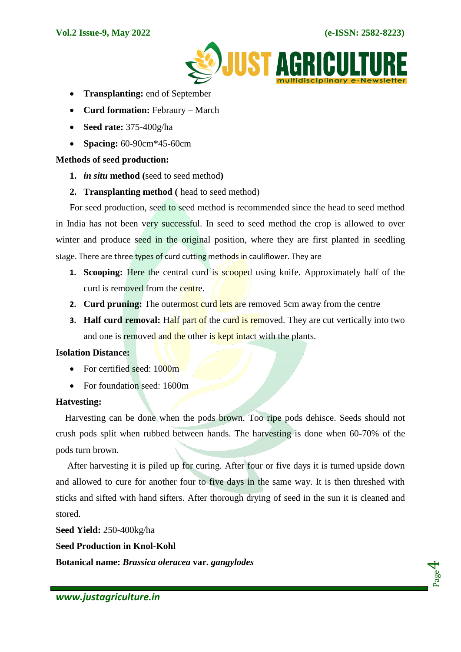

- **Transplanting:** end of September
- **Curd formation:** Febraury March
- **Seed rate:** 375-400g/ha
- **Spacing:** 60-90cm\*45-60cm

#### **Methods of seed production:**

- **1.** *in situ* **method (**seed to seed method**)**
- **2. Transplanting method (** head to seed method)

For seed production, seed to seed method is recommended since the head to seed method in India has not been very successful. In seed to seed method the crop is allowed to over winter and produce seed in the original position, where they are first planted in seedling stage. There are three types of curd cutting methods in cauliflower. They are

- **1. Scooping:** Here the central curd is **scooped** using knife. Approximately half of the curd is removed from the centre.
- **2. Curd pruning:** The outermost curd lets are removed 5cm away from the centre
- **3. Half curd removal:** Half part of the curd is removed. They are cut vertically into two and one is removed and the other is kept intact with the plants.

### **Isolation Distance:**

- For certified seed:  $1000m$
- For foundation seed: 1600m

#### **Hatvesting:**

Harvesting can be done when the pods brown. Too ripe pods dehisce. Seeds should not crush pods split when rubbed between hands. The harvesting is done when 60-70% of the pods turn brown.

 After harvesting it is piled up for curing. After four or five days it is turned upside down and allowed to cure for another four to five days in the same way. It is then threshed with sticks and sifted with hand sifters. After thorough drying of seed in the sun it is cleaned and stored.

**Seed Yield:** 250-400kg/ha

**Seed Production in Knol-Kohl**

**Botanical name:** *Brassica oleracea* **var.** *gangylodes*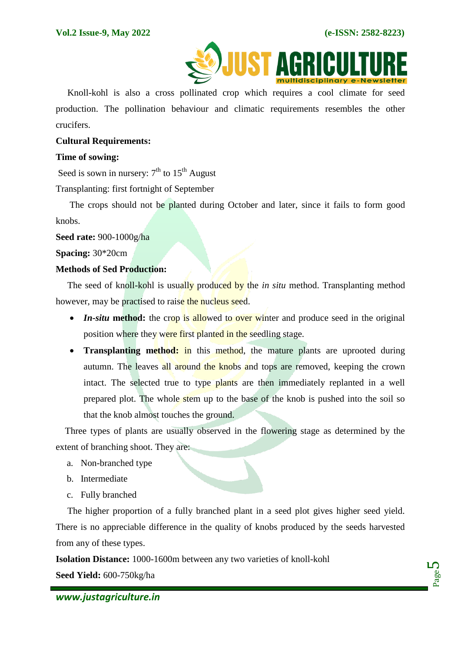

Knoll-kohl is also a cross pollinated crop which requires a cool climate for seed production. The pollination behaviour and climatic requirements resembles the other crucifers.

#### **Cultural Requirements:**

#### **Time of sowing:**

Seed is sown in nursery:  $7<sup>th</sup>$  to  $15<sup>th</sup>$  August

Transplanting: first fortnight of September

 The crops should not be planted during October and later, since it fails to form good knobs.

**Seed rate:** 900-1000g/ha

**Spacing:** 30\*20cm

#### **Methods of Sed Production:**

The seed of knoll-kohl is usually produced by the *in situ* method. Transplanting method however, may be practised to raise the nucleus seed.

- *In-situ* method: the crop is allowed to over winter and produce seed in the original position where they were first planted in the seedling stage.
- **Transplanting method:** in this method, the mature plants are uprooted during autumn. The leaves all around the knobs and tops are removed, keeping the crown intact. The selected true to type plants are then immediately replanted in a well prepared plot. The whole stem up to the base of the knob is pushed into the soil so that the knob almost touches the ground.

 Three types of plants are usually observed in the flowering stage as determined by the extent of branching shoot. They are:

- a. Non-branched type
- b. Intermediate
- c. Fully branched

 The higher proportion of a fully branched plant in a seed plot gives higher seed yield. There is no appreciable difference in the quality of knobs produced by the seeds harvested from any of these types.

**Isolation Distance:** 1000-1600m between any two varieties of knoll-kohl

**Seed Yield:** 600-750kg/ha

Page ம